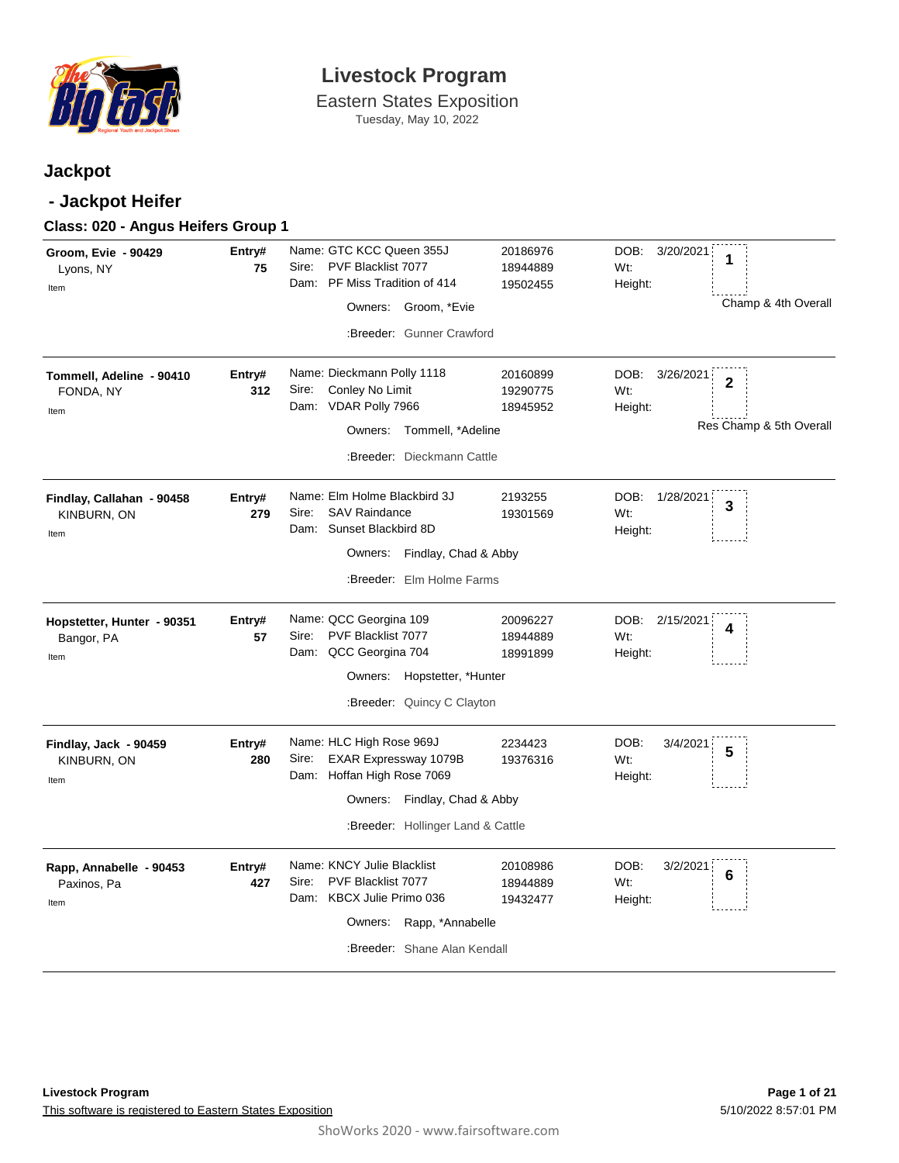

Eastern States Exposition Tuesday, May 10, 2022

### **Jackpot**

### **- Jackpot Heifer**

| Groom, Evie - 90429<br>Lyons, NY<br>Item         | Entry#<br>75  | Name: GTC KCC Queen 355J<br>PVF Blacklist 7077<br>Sire:<br>Dam: PF Miss Tradition of 414<br>Owners: Groom, *Evie                                              | 20186976<br>18944889<br>19502455 | DOB: 3/20/2021<br>1<br>Wt:<br>Height:<br>Champ & 4th Overall                     |
|--------------------------------------------------|---------------|---------------------------------------------------------------------------------------------------------------------------------------------------------------|----------------------------------|----------------------------------------------------------------------------------|
|                                                  |               | :Breeder: Gunner Crawford                                                                                                                                     |                                  |                                                                                  |
| Tommell, Adeline - 90410<br>FONDA, NY<br>Item    | Entry#<br>312 | Name: Dieckmann Polly 1118<br>Conley No Limit<br>Sire:<br>Dam: VDAR Polly 7966<br>Owners:<br>Tommell, *Adeline<br>:Breeder: Dieckmann Cattle                  | 20160899<br>19290775<br>18945952 | DOB:<br>3/26/2021<br>$\overline{2}$<br>Wt:<br>Height:<br>Res Champ & 5th Overall |
| Findlay, Callahan - 90458<br>KINBURN, ON<br>Item | Entry#<br>279 | Name: Elm Holme Blackbird 3J<br><b>SAV Raindance</b><br>Sire:<br>Dam: Sunset Blackbird 8D<br>Owners: Findlay, Chad & Abby<br>:Breeder: Elm Holme Farms        | 2193255<br>19301569              | DOB:<br>1/28/2021<br>3<br>Wt:<br>Height:                                         |
| Hopstetter, Hunter - 90351<br>Bangor, PA<br>Item | Entry#<br>57  | Name: QCC Georgina 109<br>PVF Blacklist 7077<br>Sire:<br>Dam: QCC Georgina 704<br>Owners:<br>Hopstetter, *Hunter<br>:Breeder: Quincy C Clayton                | 20096227<br>18944889<br>18991899 | DOB:<br>2/15/2021<br>4<br>Wt:<br>Height:                                         |
| Findlay, Jack - 90459<br>KINBURN, ON<br>Item     | Entry#<br>280 | Name: HLC High Rose 969J<br>EXAR Expressway 1079B<br>Sire:<br>Dam: Hoffan High Rose 7069<br>Owners: Findlay, Chad & Abby<br>:Breeder: Hollinger Land & Cattle | 2234423<br>19376316              | DOB:<br>3/4/2021<br>5<br>Wt:<br>Height:                                          |
| Rapp, Annabelle - 90453<br>Paxinos, Pa<br>Item   | Entry#<br>427 | Name: KNCY Julie Blacklist<br>PVF Blacklist 7077<br>Sire:<br>Dam: KBCX Julie Primo 036<br>Rapp, *Annabelle<br>Owners:<br>:Breeder: Shane Alan Kendall         | 20108986<br>18944889<br>19432477 | DOB:<br>3/2/2021<br>6<br>Wt:<br>Height:                                          |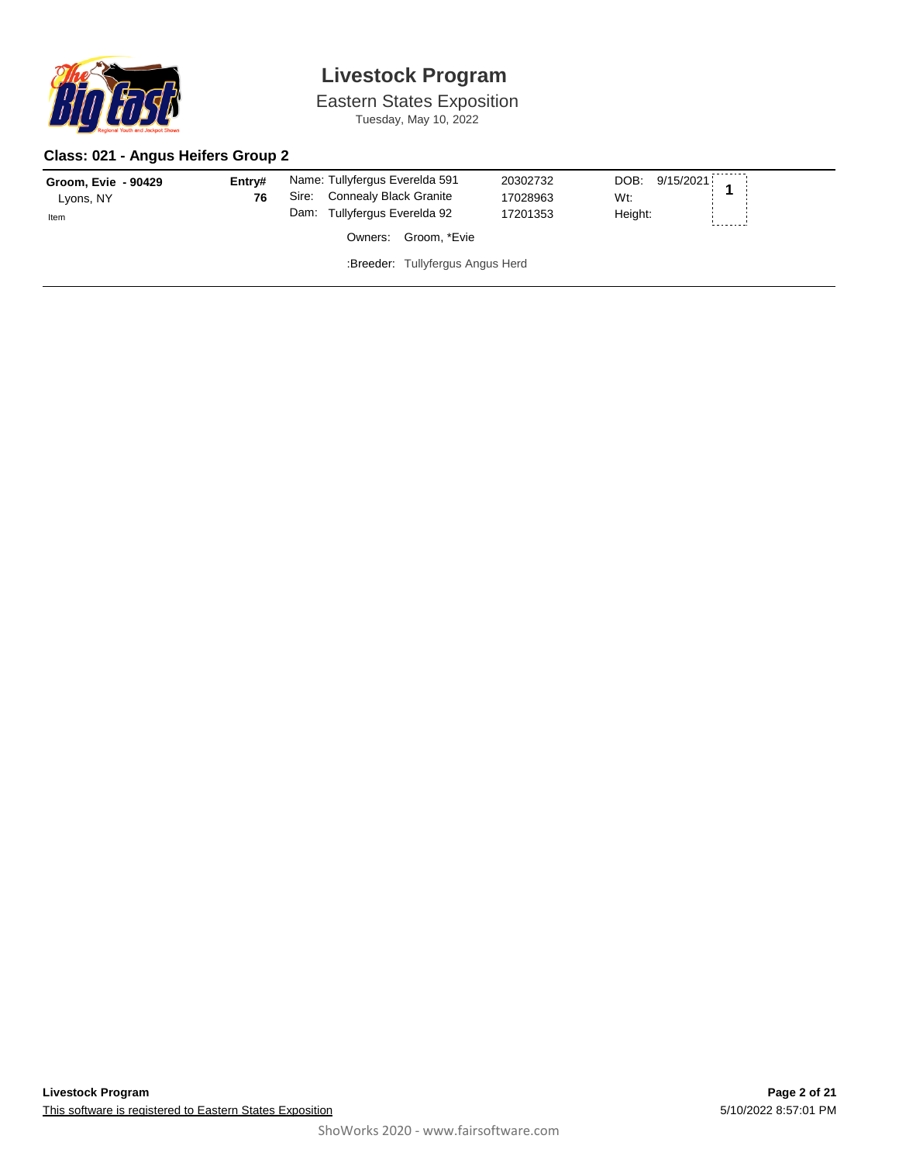

Eastern States Exposition Tuesday, May 10, 2022

### **Class: 021 - Angus Heifers Group 2**

| Groom, Evie - 90429<br>Lyons, NY | Entry#<br>76 | Name: Tullyfergus Everelda 591<br>Sire: Connealy Black Granite<br>Dam: Tullyfergus Everelda 92 |                                  | 20302732<br>17028963<br>17201353 | DOB: 9/15/2021 1<br>Wt:<br>Height: |  |
|----------------------------------|--------------|------------------------------------------------------------------------------------------------|----------------------------------|----------------------------------|------------------------------------|--|
| Item                             |              | Owners:                                                                                        | Groom. *Evie                     |                                  |                                    |  |
|                                  |              |                                                                                                | :Breeder: Tullyfergus Angus Herd |                                  |                                    |  |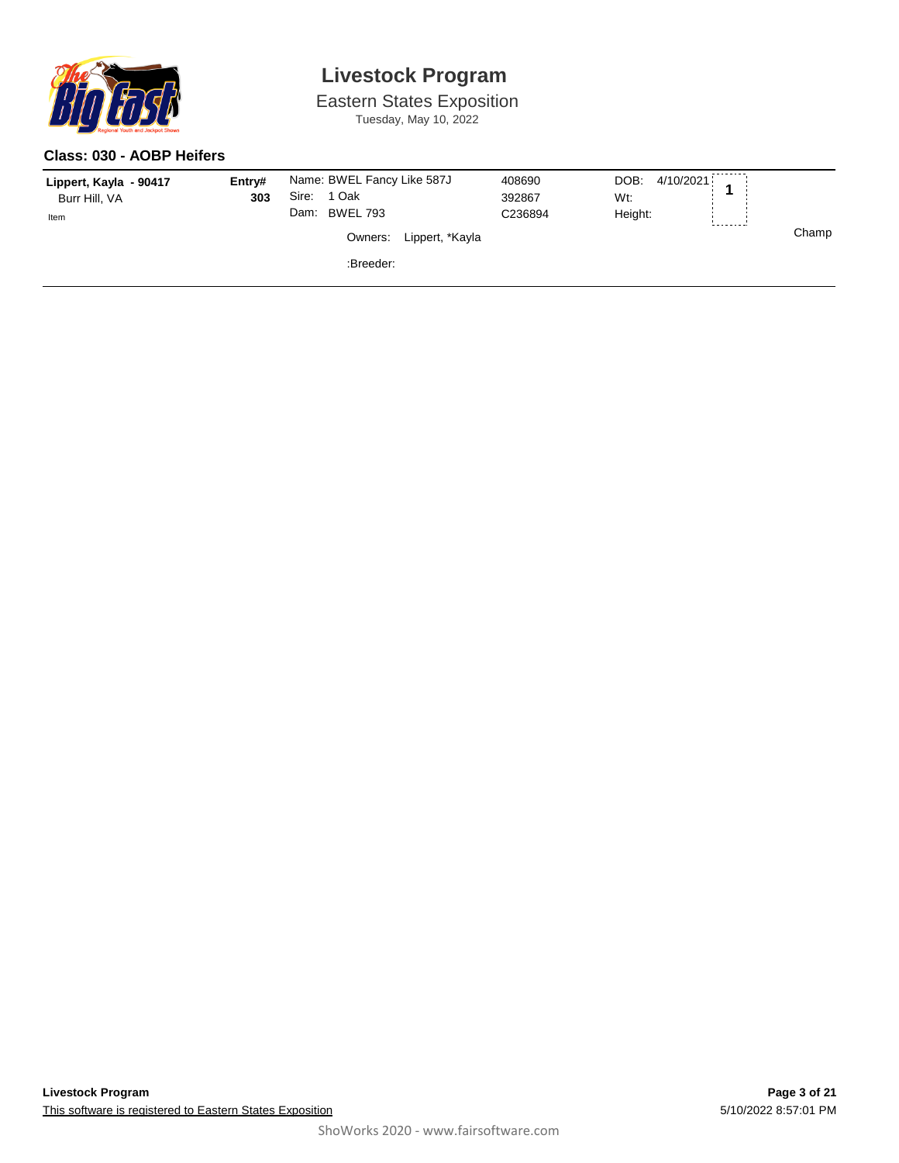

Eastern States Exposition Tuesday, May 10, 2022

#### **Class: 030 - AOBP Heifers**

| Lippert, Kayla - 90417<br>Burr Hill, VA | Entry#<br>303 | Name: BWEL Fancy Like 587J<br>Sire:<br>1 Oak |                 | 408690<br>392867 | 4/10/2021<br>DOB:<br>Wt: |   |       |
|-----------------------------------------|---------------|----------------------------------------------|-----------------|------------------|--------------------------|---|-------|
| Item                                    |               | <b>BWEL 793</b><br>Dam:<br>Owners:           | Lippert, *Kayla | C236894          | Height:                  | 1 | Champ |
|                                         |               | :Breeder:                                    |                 |                  |                          |   |       |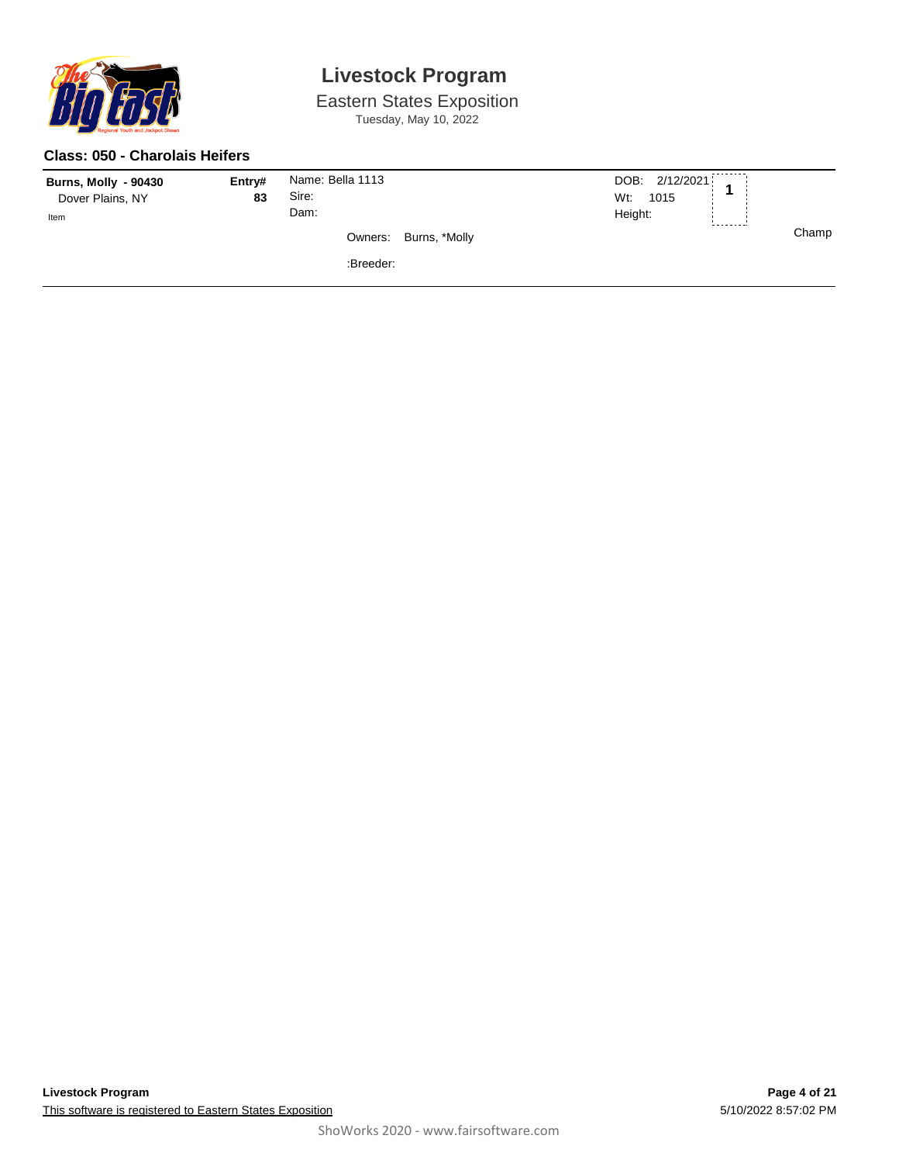

Eastern States Exposition Tuesday, May 10, 2022

#### **Class: 050 - Charolais Heifers**

| <b>Burns, Molly - 90430</b><br>Dover Plains, NY<br>Item | Entry#<br>83 | Name: Bella 1113<br>Sire:<br>Dam: |                       | DOB: 2/12/2021<br>Wt:<br>1015<br>Height: | -------- |       |
|---------------------------------------------------------|--------------|-----------------------------------|-----------------------|------------------------------------------|----------|-------|
|                                                         |              |                                   | Owners: Burns, *Molly |                                          |          | Champ |
|                                                         |              | :Breeder:                         |                       |                                          |          |       |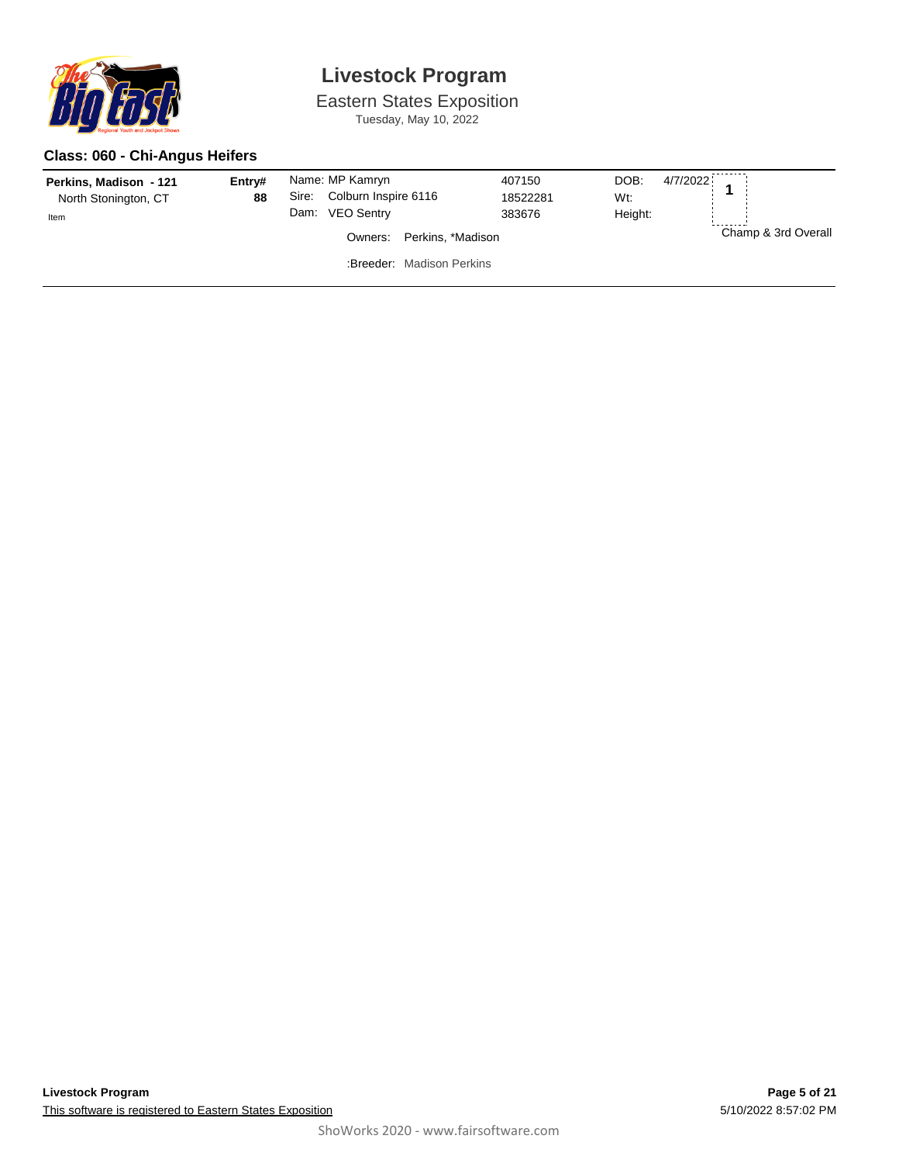

Eastern States Exposition Tuesday, May 10, 2022

### **Class: 060 - Chi-Angus Heifers**

| Perkins, Madison - 121<br>North Stonington, CT<br>Item | Entry#<br>88 | Dam: | Name: MP Kamryn<br>Sire: Colburn Inspire 6116<br><b>VEO Sentry</b> | 407150<br>18522281<br>383676 | DOB:<br>4/7/2022<br>Wt:<br>Height: |                     |
|--------------------------------------------------------|--------------|------|--------------------------------------------------------------------|------------------------------|------------------------------------|---------------------|
|                                                        |              |      | Perkins, *Madison<br>Owners:                                       |                              |                                    | Champ & 3rd Overall |
|                                                        |              |      | :Breeder: Madison Perkins                                          |                              |                                    |                     |
|                                                        |              |      |                                                                    |                              |                                    |                     |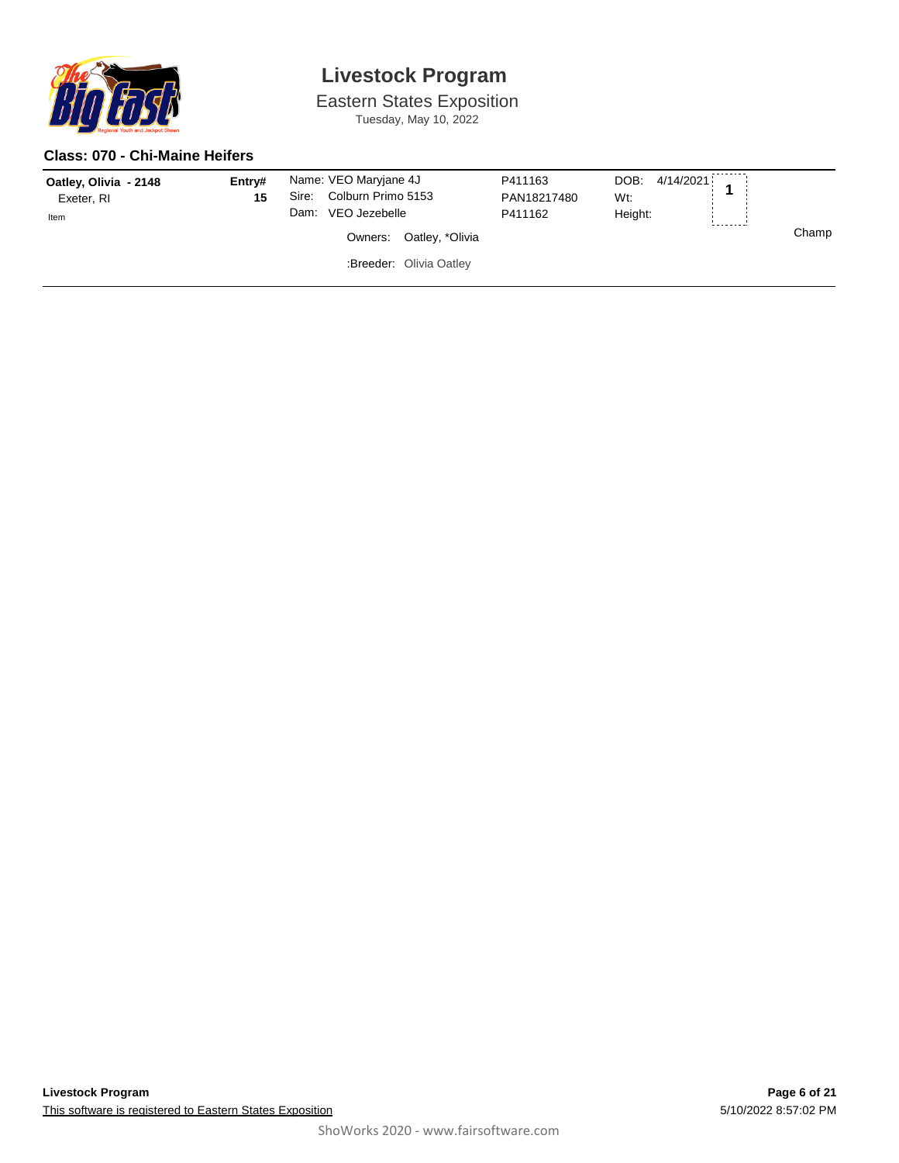

Eastern States Exposition Tuesday, May 10, 2022

#### **Class: 070 - Chi-Maine Heifers**

| Oatley, Olivia - 2148<br>Exeter, RI<br>Item | Entry#<br>15 | Dam: | Name: VEO Maryjane 4J<br>Sire: Colburn Primo 5153<br>VEO Jezebelle |                         | P411163<br>PAN18217480<br>P411162 | DOB: 4/14/2021<br>Wt:<br>Height: |       |
|---------------------------------------------|--------------|------|--------------------------------------------------------------------|-------------------------|-----------------------------------|----------------------------------|-------|
|                                             |              |      |                                                                    | Owners: Oatley, *Olivia |                                   |                                  | Champ |
|                                             |              |      | :Breeder: Olivia Oatley                                            |                         |                                   |                                  |       |
|                                             |              |      |                                                                    |                         |                                   |                                  |       |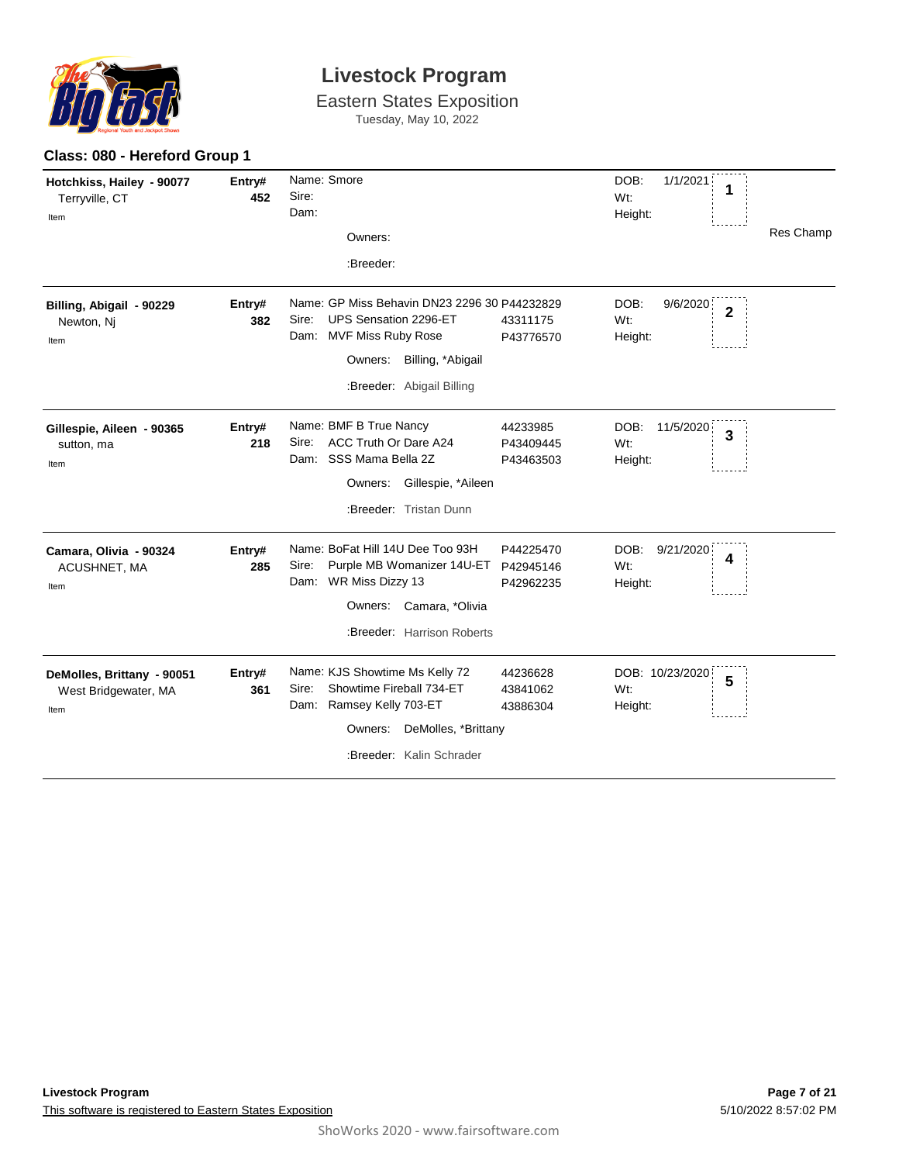

**Class: 080 - Hereford Group 1**

# **Livestock Program**

Eastern States Exposition

Tuesday, May 10, 2022

| Hotchkiss, Hailey - 90077<br>Terryville, CT<br>Item        | Entry#<br>452 | Name: Smore<br>Sire:<br>Dam:<br>Owners:<br>:Breeder:                                                                                                                                                      | DOB:<br>1/1/2021<br>1<br>Wt:<br>Height:<br>Res Champ           |
|------------------------------------------------------------|---------------|-----------------------------------------------------------------------------------------------------------------------------------------------------------------------------------------------------------|----------------------------------------------------------------|
| Billing, Abigail - 90229<br>Newton, Nj<br>Item             | Entry#<br>382 | Name: GP Miss Behavin DN23 2296 30 P44232829<br>UPS Sensation 2296-ET<br>Sire:<br>43311175<br><b>MVF Miss Ruby Rose</b><br>Dam:<br>P43776570<br>Billing, *Abigail<br>Owners:<br>:Breeder: Abigail Billing | DOB:<br>9/6/2020<br>$\overline{2}$<br>Wt:<br>Height:           |
| Gillespie, Aileen - 90365<br>sutton, ma<br>Item            | Entry#<br>218 | Name: BMF B True Nancy<br>44233985<br>ACC Truth Or Dare A24<br>Sire:<br>P43409445<br>SSS Mama Bella 2Z<br>Dam:<br>P43463503<br>Gillespie, *Aileen<br>Owners:<br>:Breeder: Tristan Dunn                    | DOB:<br>11/5/2020<br>$\overline{\mathbf{3}}$<br>Wt:<br>Height: |
| Camara, Olivia - 90324<br>ACUSHNET, MA<br>Item             | Entry#<br>285 | Name: BoFat Hill 14U Dee Too 93H<br>P44225470<br>Sire:<br>Purple MB Womanizer 14U-ET<br>P42945146<br>WR Miss Dizzy 13<br>Dam:<br>P42962235<br>Owners: Camara, *Olivia<br>:Breeder: Harrison Roberts       | DOB:<br>9/21/2020<br>4<br>Wt:<br>Height:                       |
| DeMolles, Brittany - 90051<br>West Bridgewater, MA<br>Item | Entry#<br>361 | Name: KJS Showtime Ms Kelly 72<br>44236628<br>Showtime Fireball 734-ET<br>Sire:<br>43841062<br>Ramsey Kelly 703-ET<br>Dam:<br>43886304<br>DeMolles, *Brittany<br>Owners:<br>:Breeder: Kalin Schrader      | DOB: 10/23/2020<br>5<br>Wt:<br>Height:                         |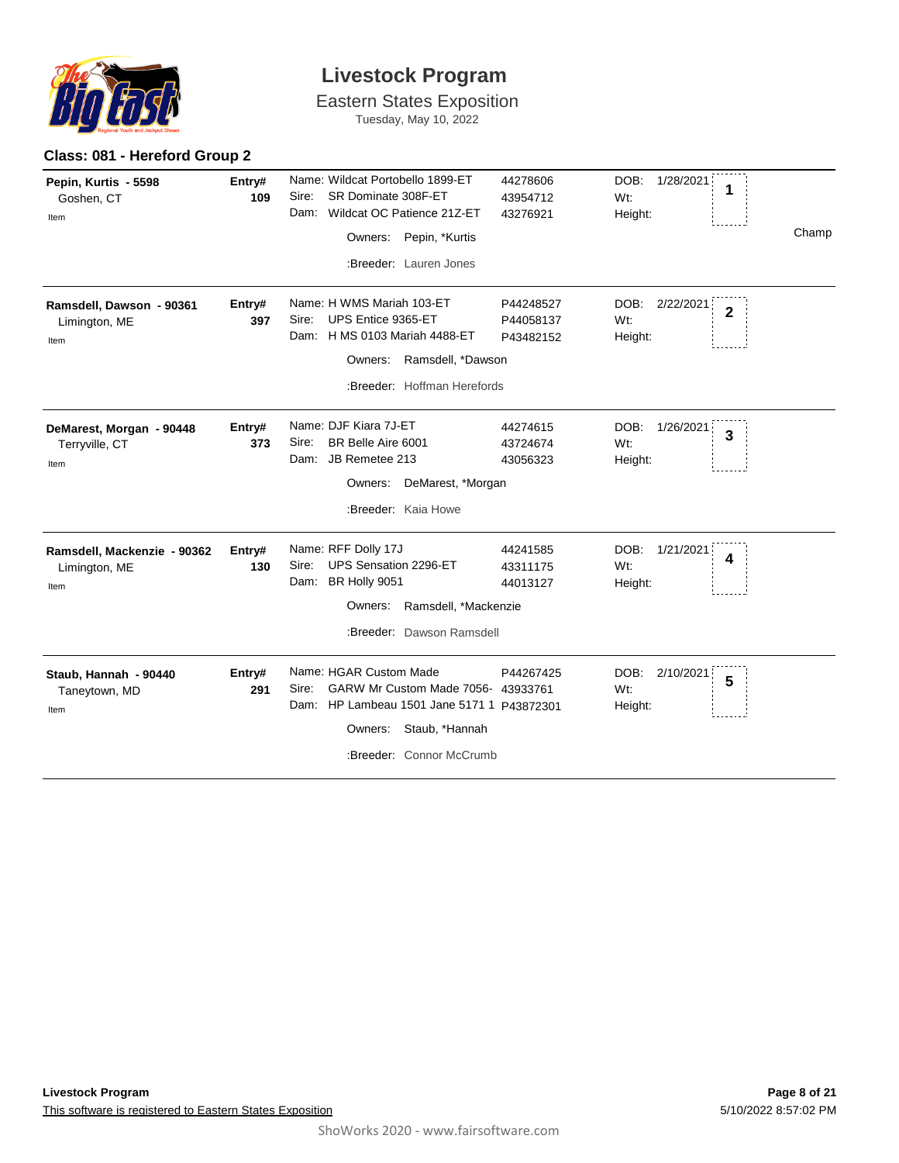

Eastern States Exposition

Tuesday, May 10, 2022

| Pepin, Kurtis - 5598<br>Goshen, CT<br>Item           | Entry#<br>109 | Name: Wildcat Portobello 1899-ET<br>SR Dominate 308F-ET<br>Sire:<br>Wildcat OC Patience 21Z-ET<br>Dam:<br>Owners: Pepin, *Kurtis<br>:Breeder: Lauren Jones                   | 44278606<br>43954712<br>43276921    | DOB:<br>1/28/2021<br>1<br>Wt:<br>Height:              | Champ |
|------------------------------------------------------|---------------|------------------------------------------------------------------------------------------------------------------------------------------------------------------------------|-------------------------------------|-------------------------------------------------------|-------|
| Ramsdell, Dawson - 90361<br>Limington, ME<br>Item    | Entry#<br>397 | Name: H WMS Mariah 103-ET<br>UPS Entice 9365-ET<br>Sire:<br>H MS 0103 Mariah 4488-ET<br>Dam:<br>Ramsdell, *Dawson<br>Owners:                                                 | P44248527<br>P44058137<br>P43482152 | DOB:<br>2/22/2021<br>$\overline{2}$<br>Wt:<br>Height: |       |
|                                                      |               | :Breeder: Hoffman Herefords                                                                                                                                                  |                                     |                                                       |       |
| DeMarest, Morgan - 90448<br>Terryville, CT<br>Item   | Entry#<br>373 | Name: DJF Kiara 7J-ET<br>BR Belle Aire 6001<br>Sire:<br>Dam: JB Remetee 213<br>Owners: DeMarest, *Morgan<br>:Breeder: Kaia Howe                                              | 44274615<br>43724674<br>43056323    | DOB:<br>1/26/2021<br>3<br>Wt:<br>Height:              |       |
| Ramsdell, Mackenzie - 90362<br>Limington, ME<br>Item | Entry#<br>130 | Name: RFF Dolly 17J<br>UPS Sensation 2296-ET<br>Sire:<br>Dam: BR Holly 9051<br>Ramsdell, *Mackenzie<br>Owners:<br>:Breeder: Dawson Ramsdell                                  | 44241585<br>43311175<br>44013127    | DOB:<br>1/21/2021<br>4<br>Wt:<br>Height:              |       |
| Staub, Hannah - 90440<br>Taneytown, MD<br>Item       | Entry#<br>291 | Name: HGAR Custom Made<br>GARW Mr Custom Made 7056- 43933761<br>Sire:<br>HP Lambeau 1501 Jane 5171 1 P43872301<br>Dam:<br>Owners: Staub, *Hannah<br>:Breeder: Connor McCrumb | P44267425                           | DOB:<br>2/10/2021<br>5<br>Wt:<br>Height:              |       |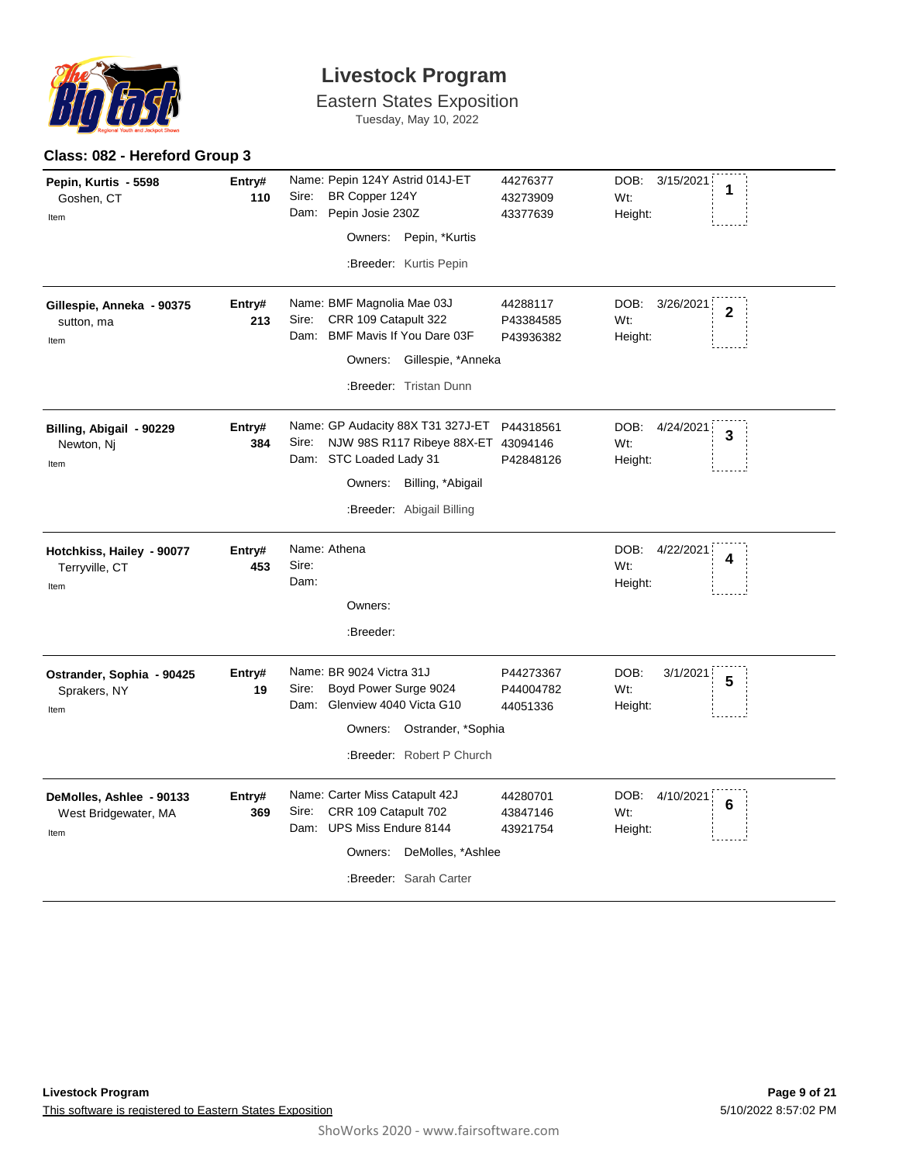

Eastern States Exposition Tuesday, May 10, 2022

| Pepin, Kurtis - 5598<br>Goshen, CT<br>Item               | Entry#<br>110 | Name: Pepin 124Y Astrid 014J-ET<br>Sire:<br>BR Copper 124Y<br>Dam: Pepin Josie 230Z<br>Pepin, *Kurtis<br>Owners:                                                       | 44276377<br>43273909<br>43377639   | DOB:<br>3/15/2021<br>1<br>Wt:<br>Height:              |
|----------------------------------------------------------|---------------|------------------------------------------------------------------------------------------------------------------------------------------------------------------------|------------------------------------|-------------------------------------------------------|
|                                                          |               | :Breeder: Kurtis Pepin                                                                                                                                                 |                                    |                                                       |
| Gillespie, Anneka - 90375<br>sutton, ma<br>Item          | Entry#<br>213 | Name: BMF Magnolia Mae 03J<br>CRR 109 Catapult 322<br>Sire:<br>Dam: BMF Mavis If You Dare 03F<br>Owners: Gillespie, *Anneka<br>:Breeder: Tristan Dunn                  | 44288117<br>P43384585<br>P43936382 | DOB:<br>3/26/2021<br>$\overline{2}$<br>Wt:<br>Height: |
| Billing, Abigail - 90229<br>Newton, Nj<br>Item           | Entry#<br>384 | Name: GP Audacity 88X T31 327J-ET<br>Sire: NJW 98S R117 Ribeye 88X-ET 43094146<br>Dam: STC Loaded Lady 31<br>Owners:<br>Billing, *Abigail<br>:Breeder: Abigail Billing | P44318561<br>P42848126             | DOB:<br>4/24/2021<br>3<br>Wt:<br>Height:              |
| Hotchkiss, Hailey - 90077<br>Terryville, CT<br>Item      | Entry#<br>453 | Name: Athena<br>Sire:<br>Dam:<br>Owners:<br>:Breeder:                                                                                                                  |                                    | DOB:<br>4/22/2021<br>4<br>Wt:<br>Height:              |
| Ostrander, Sophia - 90425<br>Sprakers, NY<br>Item        | Entry#<br>19  | Name: BR 9024 Victra 31J<br>Boyd Power Surge 9024<br>Sire:<br>Dam: Glenview 4040 Victa G10<br>Owners: Ostrander, *Sophia<br>:Breeder: Robert P Church                  | P44273367<br>P44004782<br>44051336 | DOB:<br>3/1/2021<br>5<br>Wt:<br>Height:               |
| DeMolles, Ashlee - 90133<br>West Bridgewater, MA<br>Item | Entry#<br>369 | Name: Carter Miss Catapult 42J<br>CRR 109 Catapult 702<br>Sire:<br>Dam: UPS Miss Endure 8144<br>DeMolles, *Ashlee<br>Owners:<br>:Breeder: Sarah Carter                 | 44280701<br>43847146<br>43921754   | DOB:<br>4/10/2021<br>6<br>Wt:<br>Height:              |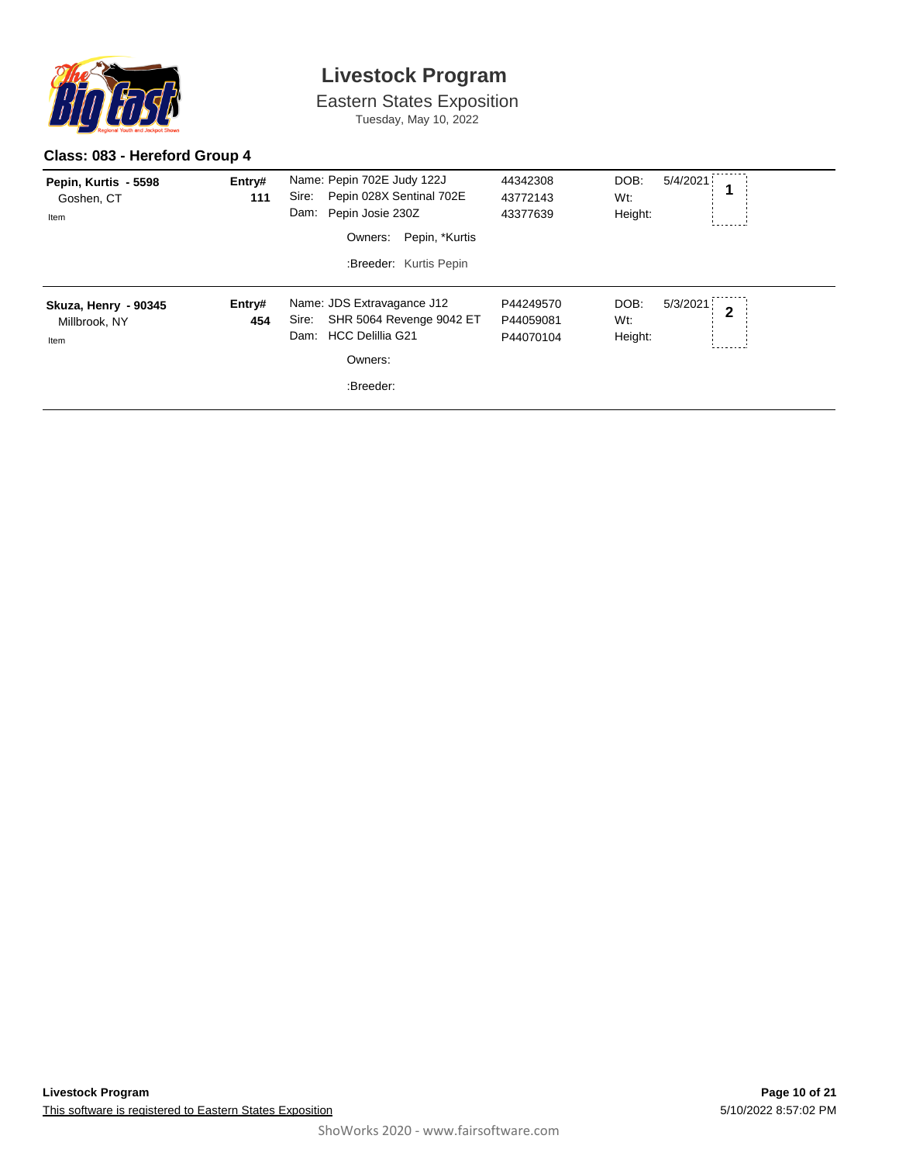

Eastern States Exposition

Tuesday, May 10, 2022

### **Class: 083 - Hereford Group 4**

| Pepin, Kurtis - 5598<br>Goshen, CT<br>Item    | Entry#<br>111 | Name: Pepin 702E Judy 122J<br>Pepin 028X Sentinal 702E<br>Sire:<br>Dam: Pepin Josie 230Z<br>Pepin, *Kurtis<br>Owners:<br>:Breeder: Kurtis Pepin | 44342308<br>43772143<br>43377639    | DOB:<br>5/4/2021<br>Wt:<br>Height: |                |
|-----------------------------------------------|---------------|-------------------------------------------------------------------------------------------------------------------------------------------------|-------------------------------------|------------------------------------|----------------|
| Skuza, Henry - 90345<br>Millbrook, NY<br>Item | Entry#<br>454 | Name: JDS Extravagance J12<br>SHR 5064 Revenge 9042 ET<br>Sire:<br>Dam: HCC Delillia G21<br>Owners:<br>:Breeder:                                | P44249570<br>P44059081<br>P44070104 | DOB:<br>5/3/2021<br>Wt:<br>Height: | $\overline{2}$ |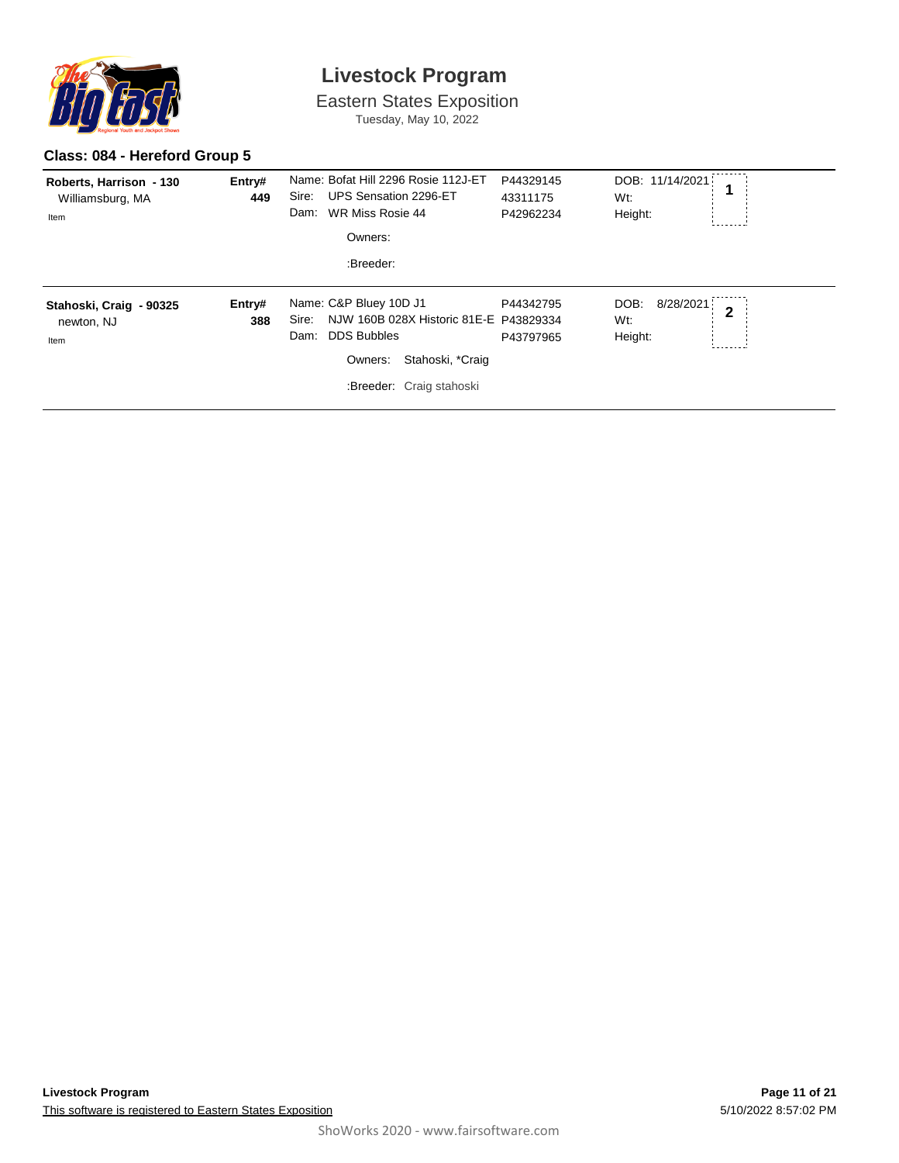

Eastern States Exposition Tuesday, May 10, 2022

#### **Class: 084 - Hereford Group 5**

| Roberts, Harrison - 130<br>Williamsburg, MA<br>Item | Entry#<br>449 | Name: Bofat Hill 2296 Rosie 112J-ET<br>Sire:<br>UPS Sensation 2296-ET<br>WR Miss Rosie 44<br>Dam:<br>Owners:<br>:Breeder:                                          | P44329145<br>43311175<br>P42962234 | DOB: 11/14/2021<br>Wt:<br>Height:   |                |
|-----------------------------------------------------|---------------|--------------------------------------------------------------------------------------------------------------------------------------------------------------------|------------------------------------|-------------------------------------|----------------|
| Stahoski, Craig - 90325<br>newton, NJ<br>Item       | Entry#<br>388 | Name: C&P Bluey 10D J1<br>NJW 160B 028X Historic 81E-E P43829334<br>Sire:<br><b>DDS Bubbles</b><br>Dam:<br>Stahoski, *Craig<br>Owners:<br>:Breeder: Craig stahoski | P44342795<br>P43797965             | 8/28/2021<br>DOB:<br>Wt:<br>Height: | $\overline{2}$ |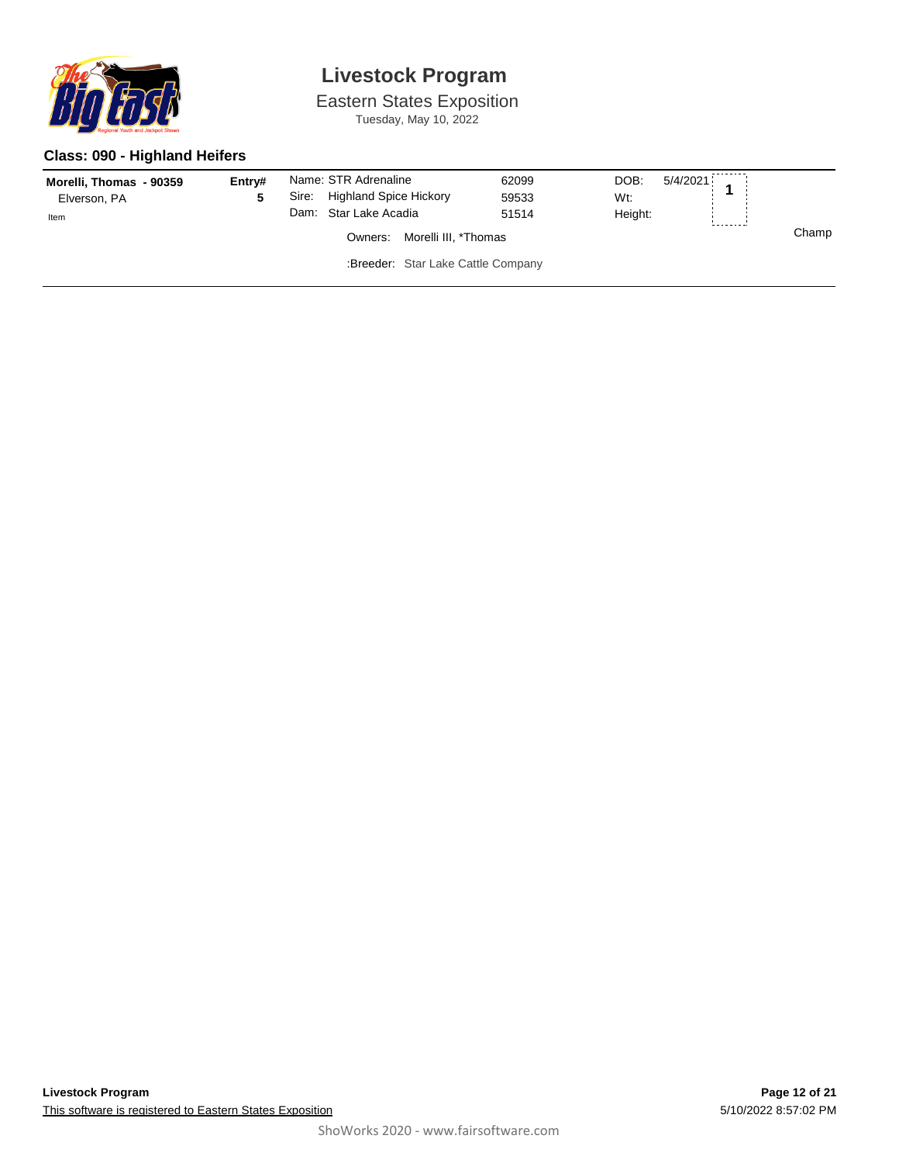

Eastern States Exposition Tuesday, May 10, 2022

### **Class: 090 - Highland Heifers**

| Morelli, Thomas - 90359<br>Elverson, PA<br>Item | Entry# | Sire: | Name: STR Adrenaline<br><b>Highland Spice Hickory</b><br>Dam: Star Lake Acadia | 62099<br>59533<br>51514 | DOB:<br>5/4/2021<br>Wt:<br>Height: |  |       |
|-------------------------------------------------|--------|-------|--------------------------------------------------------------------------------|-------------------------|------------------------------------|--|-------|
| Morelli III, *Thomas<br>Owners:                 |        |       |                                                                                |                         |                                    |  | Champ |
|                                                 |        |       | :Breeder: Star Lake Cattle Company                                             |                         |                                    |  |       |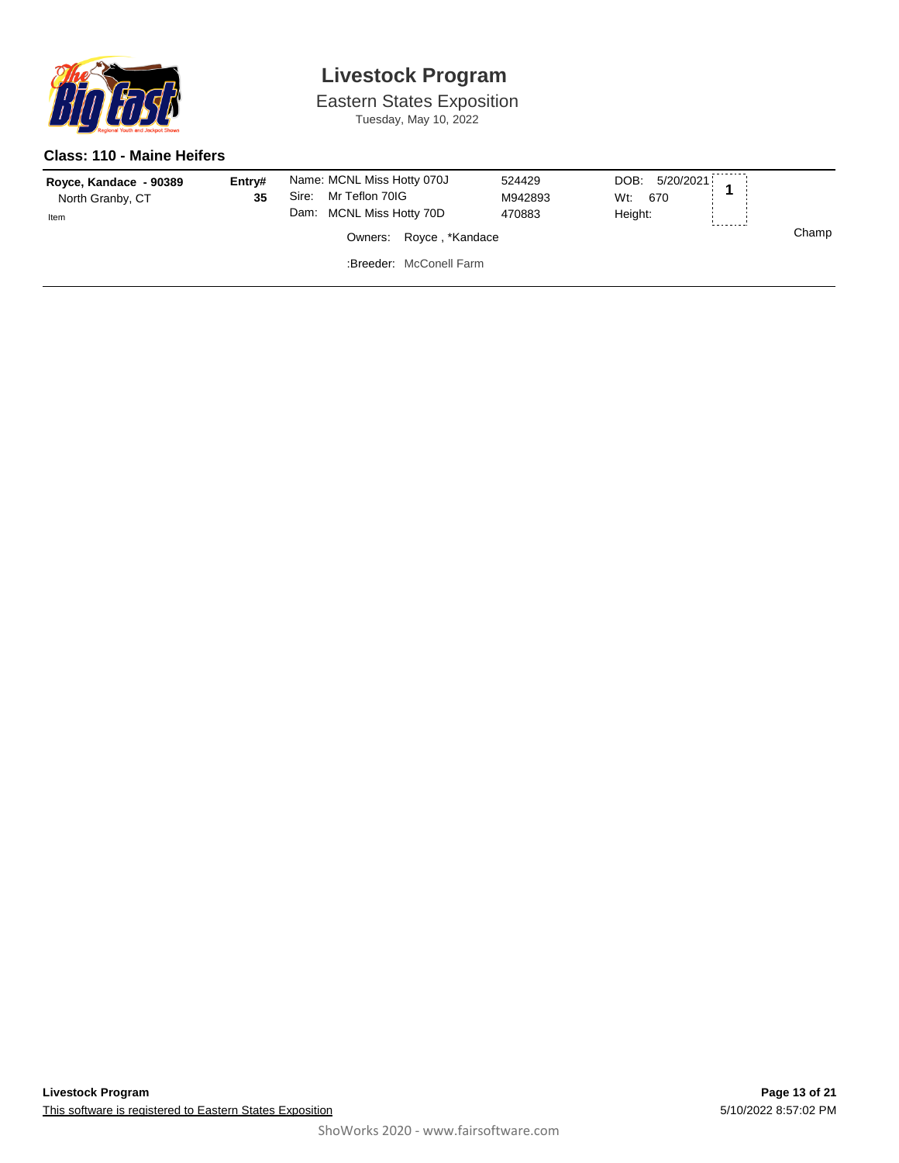

Eastern States Exposition Tuesday, May 10, 2022

#### **Class: 110 - Maine Heifers**

| Royce, Kandace - 90389<br>North Granby, CT<br>Item | Entry#<br>35 | Name: MCNL Miss Hotty 070J<br>Mr Teflon 70IG<br>Sire:<br>Dam: MCNL Miss Hotty 70D |                         | 524429<br>M942893<br>470883 | DOB: 5/20/2021<br>Wt.<br>670<br>Height: |  |       |
|----------------------------------------------------|--------------|-----------------------------------------------------------------------------------|-------------------------|-----------------------------|-----------------------------------------|--|-------|
| Owners: Royce, *Kandace                            |              |                                                                                   |                         |                             |                                         |  | Champ |
|                                                    |              |                                                                                   | :Breeder: McConell Farm |                             |                                         |  |       |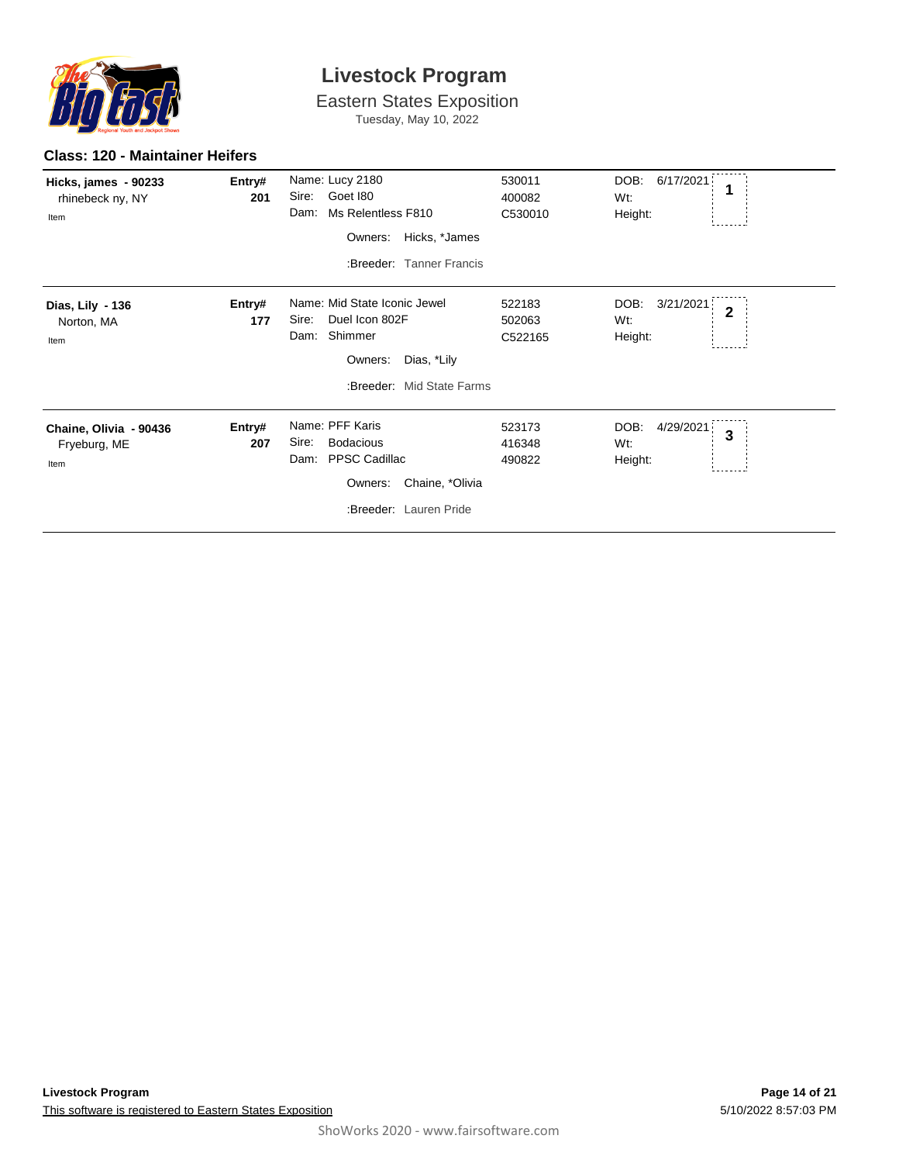

Eastern States Exposition

Tuesday, May 10, 2022

#### **Class: 120 - Maintainer Heifers**

| Hicks, james - 90233<br>rhinebeck ny, NY<br>Item | Entry#<br>201 | Name: Lucy 2180<br>Goet 180<br>Sire:<br>Ms Relentless F810<br>Dam:<br>Hicks, *James<br>Owners:<br>:Breeder: Tanner Francis        | 530011<br>400082<br>C530010 | DOB:<br>6/17/2021<br>1<br>Wt:<br>Height:                       |
|--------------------------------------------------|---------------|-----------------------------------------------------------------------------------------------------------------------------------|-----------------------------|----------------------------------------------------------------|
| Dias, Lily - 136<br>Norton, MA<br>Item           | Entry#<br>177 | Name: Mid State Iconic Jewel<br>Duel Icon 802F<br>Sire:<br>Shimmer<br>Dam:<br>Dias, *Lily<br>Owners:<br>:Breeder: Mid State Farms | 522183<br>502063<br>C522165 | DOB:<br>3/21/2021<br>$\overline{2}$<br>Wt:<br>Height:          |
| Chaine, Olivia - 90436<br>Fryeburg, ME<br>Item   | Entry#<br>207 | Name: PFF Karis<br><b>Bodacious</b><br>Sire:<br>PPSC Cadillac<br>Dam:<br>Chaine, *Olivia<br>Owners:<br>:Breeder: Lauren Pride     | 523173<br>416348<br>490822  | DOB:<br>4/29/2021<br>$\overline{\mathbf{3}}$<br>Wt:<br>Height: |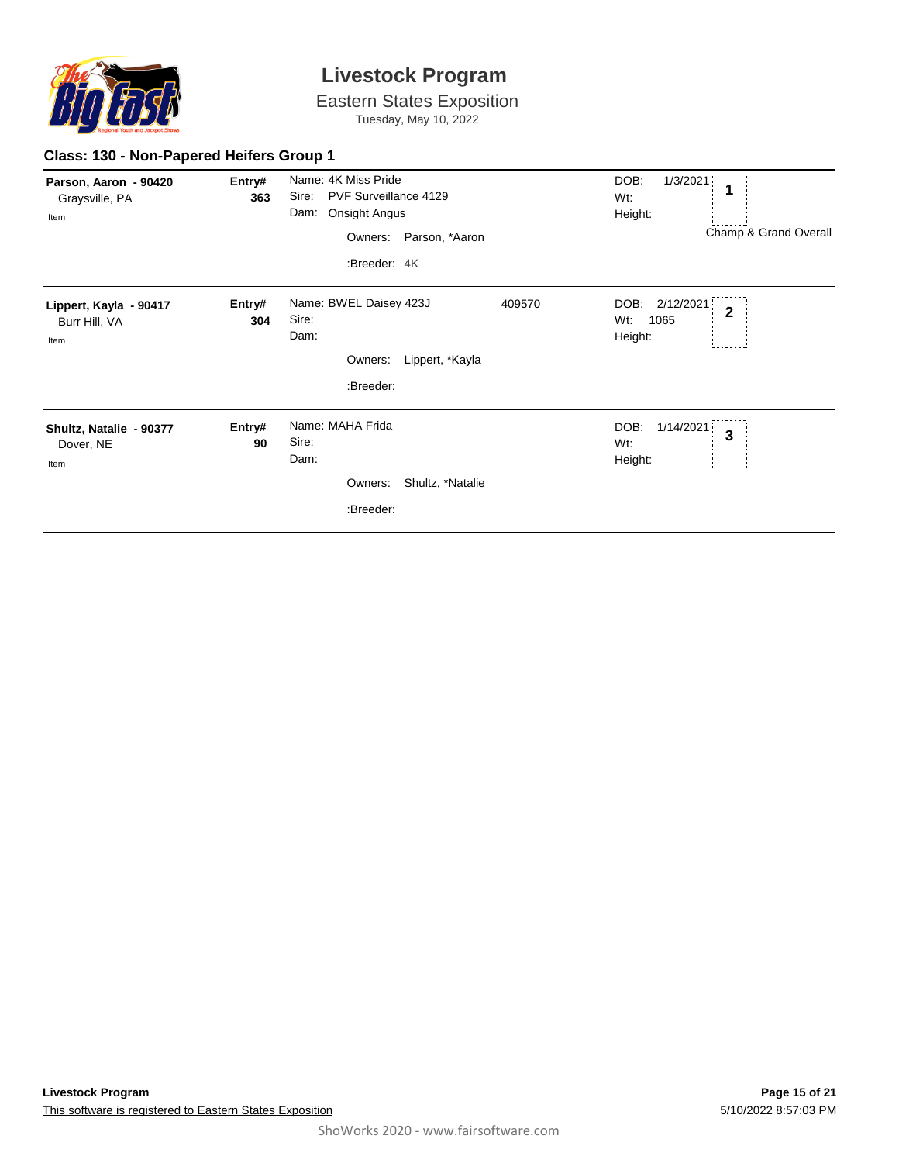

Eastern States Exposition Tuesday, May 10, 2022

### **Class: 130 - Non-Papered Heifers Group 1**

| Parson, Aaron - 90420<br>Graysville, PA<br>Item | Entry#<br>363 | Name: 4K Miss Pride<br>PVF Surveillance 4129<br>Sire:<br>Dam: Onsight Angus<br>Owners: Parson, *Aaron<br>:Breeder: 4K | DOB:<br>1/3/2021<br>Wt:<br>Height:<br>Champ & Grand Overall   |
|-------------------------------------------------|---------------|-----------------------------------------------------------------------------------------------------------------------|---------------------------------------------------------------|
| Lippert, Kayla - 90417<br>Burr Hill, VA<br>Item | Entry#<br>304 | Name: BWEL Daisey 423J<br>409570<br>Sire:<br>Dam:<br>Owners:<br>Lippert, *Kayla<br>:Breeder:                          | 2/12/2021<br>DOB:<br>$\overline{2}$<br>1065<br>Wt:<br>Height: |
| Shultz, Natalie - 90377<br>Dover, NE<br>Item    | Entry#<br>90  | Name: MAHA Frida<br>Sire:<br>Dam:<br>Shultz, *Natalie<br>Owners:<br>:Breeder:                                         | DOB:<br>1/14/2021<br>3<br>Wt:<br>Height:                      |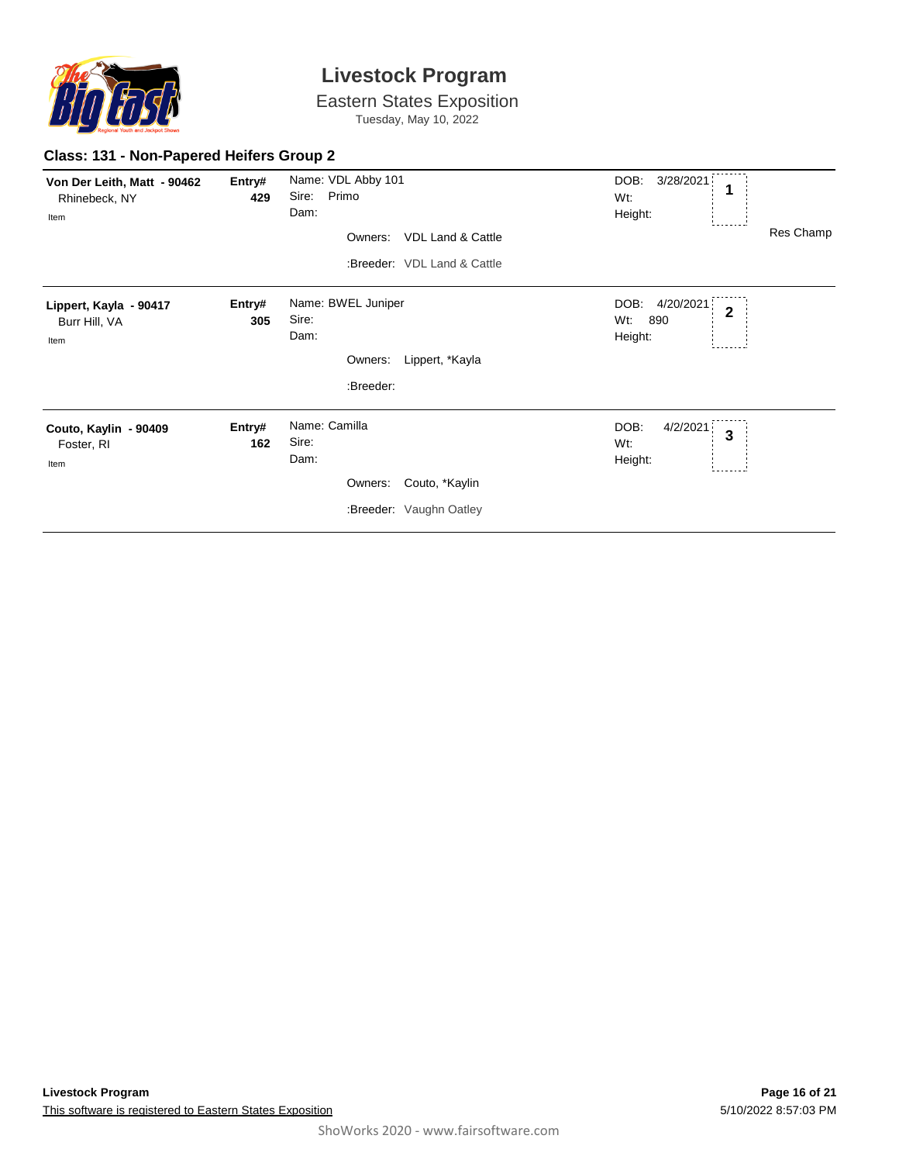

**Class: 131 - Non-Papered Heifers Group 2**

### **Livestock Program**

Eastern States Exposition Tuesday, May 10, 2022

| Von Der Leith, Matt - 90462<br>Rhinebeck, NY<br>Item | Entry#<br>429 | Name: VDL Abby 101<br>Sire:<br>Primo<br>Dam:<br><b>VDL Land &amp; Cattle</b><br>Owners:<br>:Breeder: VDL Land & Cattle | DOB:<br>3/28/2021<br>1<br>Wt:<br>Height:<br>Res Champ                 |
|------------------------------------------------------|---------------|------------------------------------------------------------------------------------------------------------------------|-----------------------------------------------------------------------|
| Lippert, Kayla - 90417<br>Burr Hill, VA<br>Item      | Entry#<br>305 | Name: BWEL Juniper<br>Sire:<br>Dam:<br>Lippert, *Kayla<br>Owners:<br>:Breeder:                                         | DOB:<br>4/20/2021<br>$\overline{\mathbf{2}}$<br>Wt:<br>890<br>Height: |
| Couto, Kaylin - 90409<br>Foster, RI<br>Item          | Entry#<br>162 | Name: Camilla<br>Sire:<br>Dam:<br>Couto, *Kaylin<br>Owners:<br>:Breeder: Vaughn Oatley                                 | DOB:<br>4/2/2021<br>$\mathbf{3}$<br>Wt:<br>Height:                    |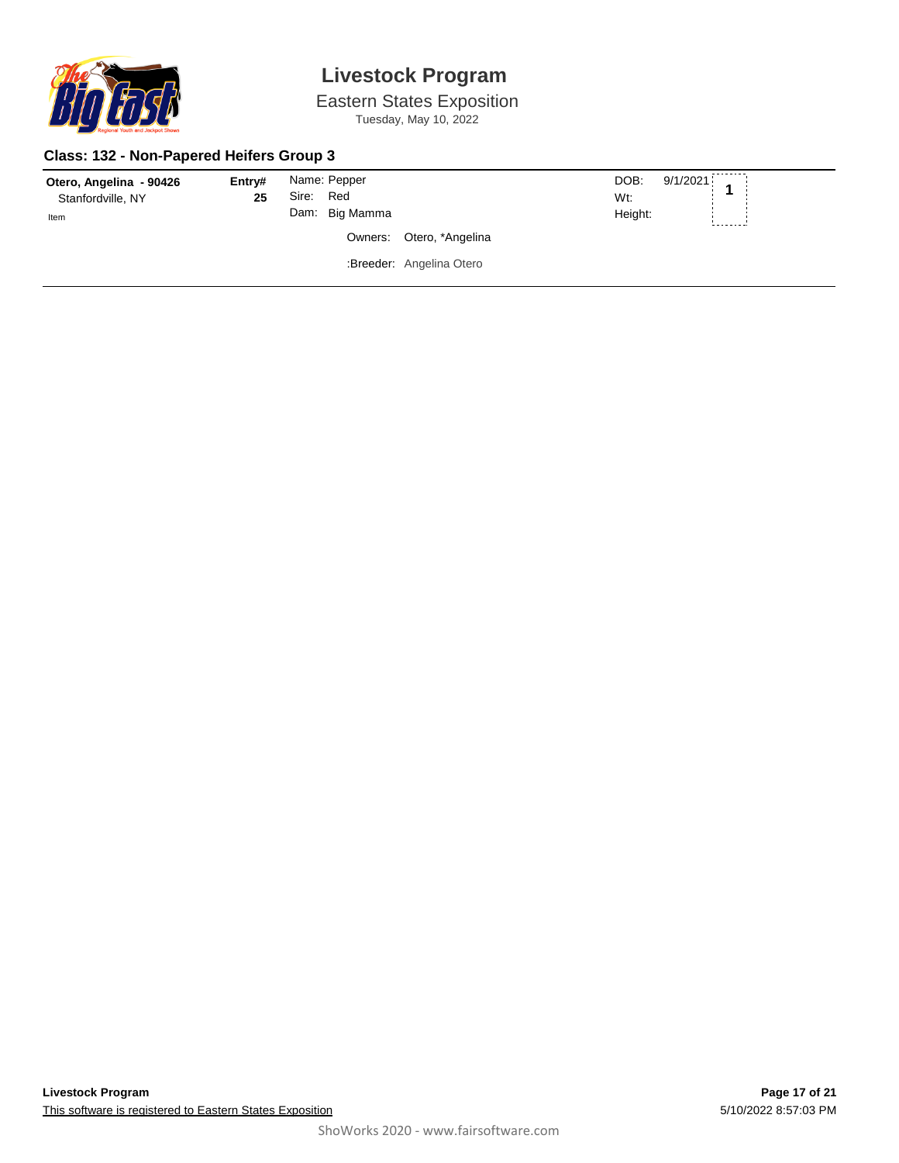

Eastern States Exposition Tuesday, May 10, 2022

### **Class: 132 - Non-Papered Heifers Group 3**

| Otero, Angelina - 90426<br>Stanfordville, NY<br>Item | Entry#<br>25 | Name: Pepper<br>Sire:<br>Red<br>Dam: Big Mamma |                          | DOB:<br>$9/1/2021$ 1<br>Wt:<br>Height:<br>-------- |
|------------------------------------------------------|--------------|------------------------------------------------|--------------------------|----------------------------------------------------|
|                                                      |              |                                                | Owners: Otero, *Angelina |                                                    |
|                                                      |              |                                                | :Breeder: Angelina Otero |                                                    |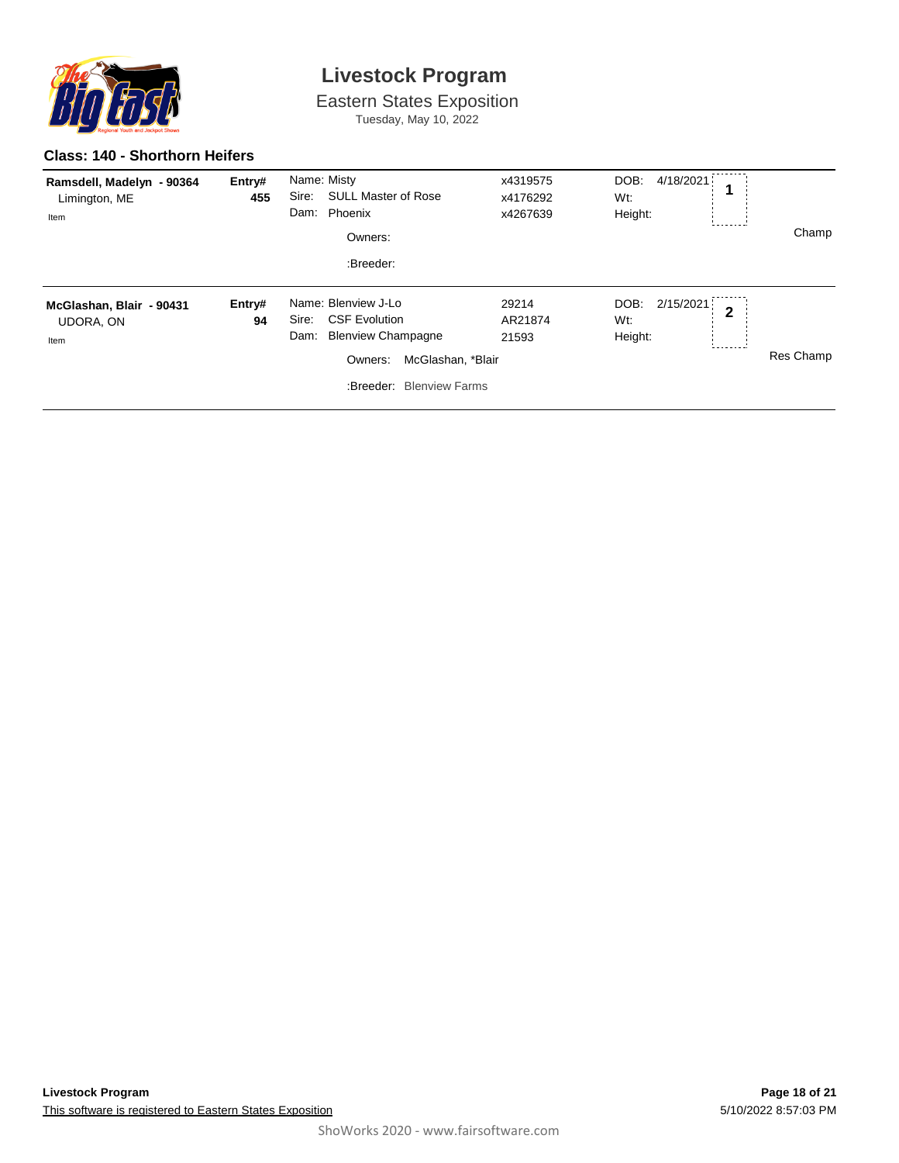

Eastern States Exposition Tuesday, May 10, 2022

#### **Class: 140 - Shorthorn Heifers**

| Ramsdell, Madelyn - 90364<br>Limington, ME<br>Item   | Entry#<br>455 | Name: Misty<br>Sire:<br><b>SULL Master of Rose</b><br>Phoenix<br>Dam:<br>Owners:<br>:Breeder:                                                         | x4319575<br>x4176292<br>x4267639 | DOB:<br>4/18/2021<br>Wt:<br>Height:                   | Champ     |
|------------------------------------------------------|---------------|-------------------------------------------------------------------------------------------------------------------------------------------------------|----------------------------------|-------------------------------------------------------|-----------|
| McGlashan, Blair - 90431<br><b>UDORA, ON</b><br>Item | Entry#<br>94  | Name: Blenview J-Lo<br><b>CSF Evolution</b><br>Sire:<br><b>Blenview Champagne</b><br>Dam:<br>McGlashan, *Blair<br>Owners:<br>:Breeder: Blenview Farms | 29214<br>AR21874<br>21593        | 2/15/2021<br>DOB:<br>$\overline{2}$<br>Wt:<br>Height: | Res Champ |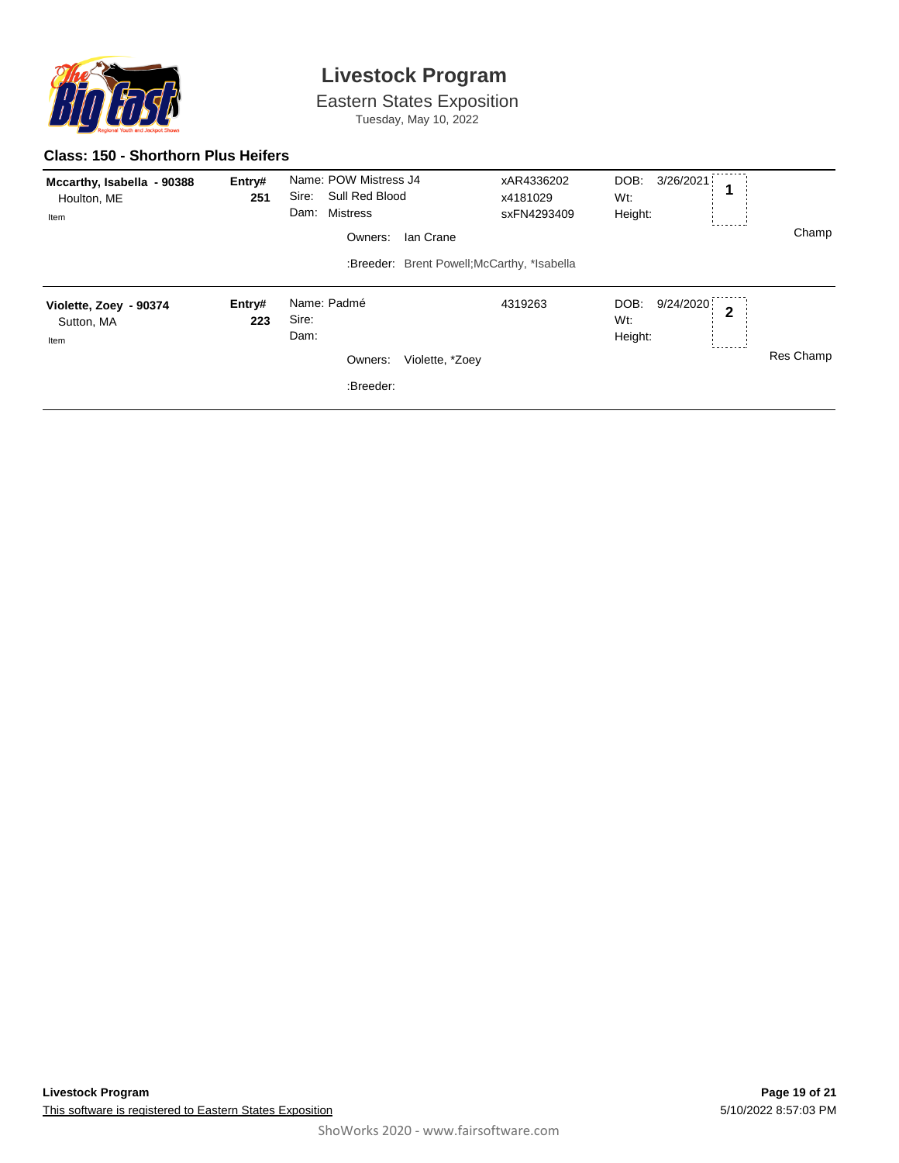

Eastern States Exposition Tuesday, May 10, 2022

#### **Class: 150 - Shorthorn Plus Heifers**

| Mccarthy, Isabella - 90388<br>Houlton, ME<br>Item | Entry#<br>251 | Name: POW Mistress J4<br>Sire:<br>Sull Red Blood<br>Dam: Mistress<br>Owners: | Ian Crane<br>:Breeder: Brent Powell: McCarthy, *Isabella | xAR4336202<br>x4181029<br>sxFN4293409 | DOB:<br>3/26/2021<br>Wt:<br>Height:                              | Champ     |
|---------------------------------------------------|---------------|------------------------------------------------------------------------------|----------------------------------------------------------|---------------------------------------|------------------------------------------------------------------|-----------|
| Violette, Zoey - 90374<br>Sutton, MA<br>Item      | Entry#<br>223 | Name: Padmé<br>Sire:<br>Dam:<br>Owners:<br>:Breeder:                         | Violette, *Zoey                                          | 4319263                               | 9/24/2020<br>DOB:<br>$\overline{2}$<br>Wt:<br>Height:<br>------- | Res Champ |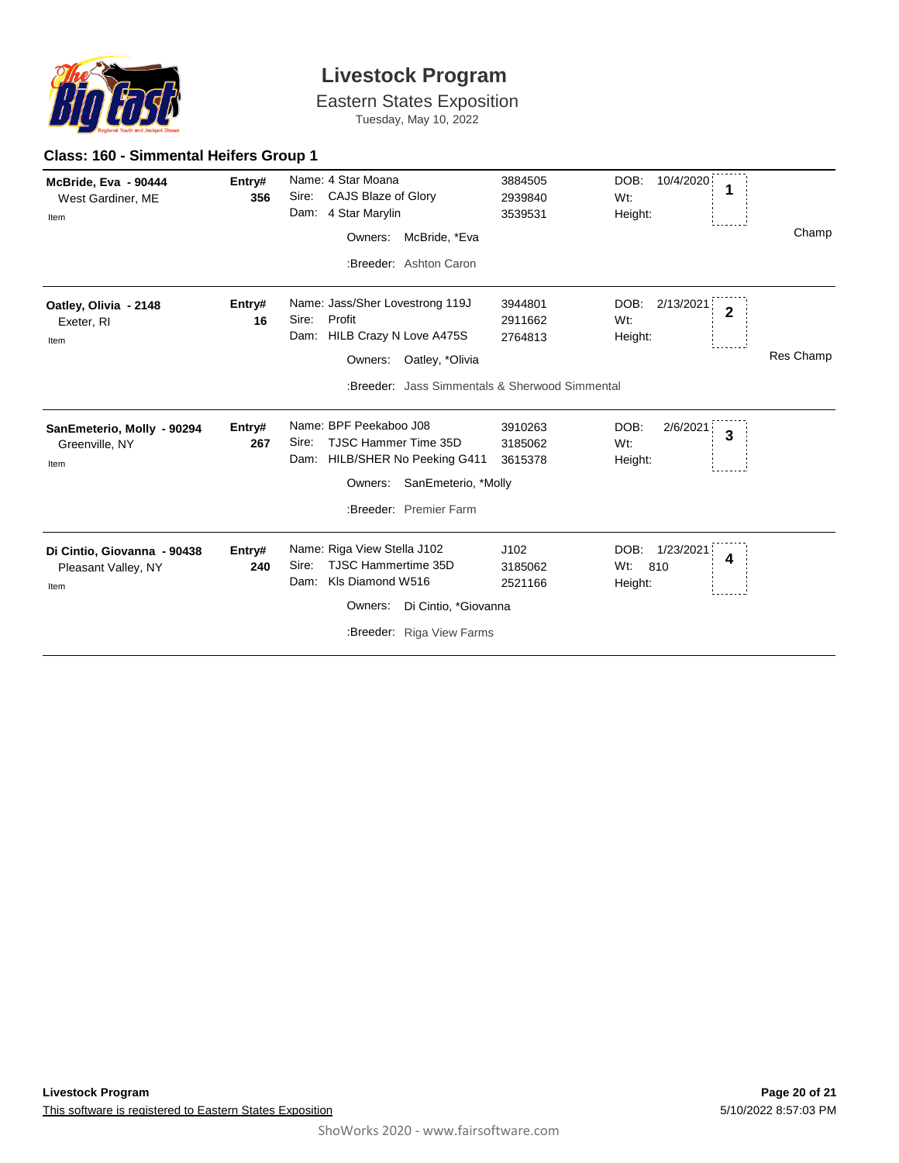

Eastern States Exposition Tuesday, May 10, 2022

### **Class: 160 - Simmental Heifers Group 1**

| McBride, Eva - 90444<br>West Gardiner, ME<br>Item          | Entry#<br>356 | Name: 4 Star Moana<br>CAJS Blaze of Glory<br>Sire:<br>Dam: 4 Star Marylin               | 3884505<br>2939840<br>3539531 | DOB:<br>10/4/2020<br>1<br>Wt:<br>Height:              |           |
|------------------------------------------------------------|---------------|-----------------------------------------------------------------------------------------|-------------------------------|-------------------------------------------------------|-----------|
|                                                            |               | McBride, *Eva<br>Owners:                                                                |                               |                                                       | Champ     |
|                                                            |               | :Breeder: Ashton Caron                                                                  |                               |                                                       |           |
| Oatley, Olivia - 2148<br>Exeter, RI<br>Item                | Entry#<br>16  | Name: Jass/Sher Lovestrong 119J<br>Profit<br>Sire:<br>HILB Crazy N Love A475S<br>Dam:   | 3944801<br>2911662<br>2764813 | DOB:<br>2/13/2021<br>$\overline{2}$<br>Wt:<br>Height: |           |
|                                                            |               | Owners:<br>Oatley, *Olivia                                                              |                               |                                                       | Res Champ |
|                                                            |               | :Breeder: Jass Simmentals & Sherwood Simmental                                          |                               |                                                       |           |
| SanEmeterio, Molly - 90294                                 | Entry#        | Name: BPF Peekaboo J08                                                                  | 3910263                       | DOB:<br>2/6/2021<br>3                                 |           |
| Greenville, NY                                             | 267           | TJSC Hammer Time 35D<br>Sire:<br>HILB/SHER No Peeking G411<br>Dam:                      | 3185062<br>3615378            | Wt:<br>Height:                                        |           |
| Item                                                       |               | SanEmeterio, *Molly<br>Owners:                                                          |                               |                                                       |           |
|                                                            |               | :Breeder: Premier Farm                                                                  |                               |                                                       |           |
| Di Cintio, Giovanna - 90438<br>Pleasant Valley, NY<br>Item | Entry#<br>240 | Name: Riga View Stella J102<br>TJSC Hammertime 35D<br>Sire:<br>KIs Diamond W516<br>Dam: | J102<br>3185062<br>2521166    | 1/23/2021<br>DOB:<br>4<br>Wt:<br>810<br>Height:       |           |
|                                                            |               | Di Cintio, *Giovanna<br>Owners:                                                         |                               |                                                       |           |
|                                                            |               | :Breeder: Riga View Farms                                                               |                               |                                                       |           |